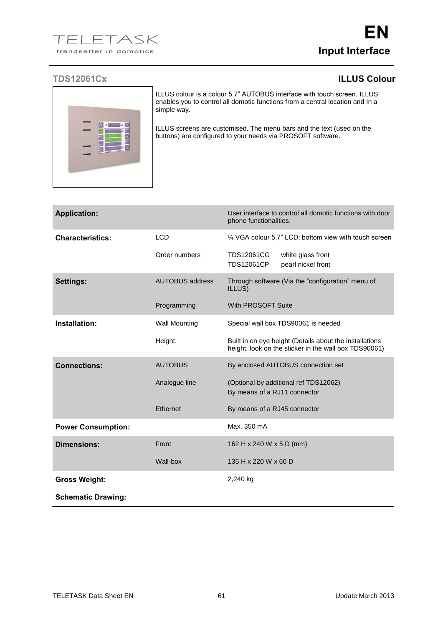## **TDS12061Cx ILLUS Colour**



ILLUS colour is a colour 5.7" AUTOBUS interface with touch screen. ILLUS enables you to control all domotic functions from a central location and In a simple way.

ILLUS screens are customised. The menu bars and the text (used on the buttons) are configured to your needs via PROSOFT software.

| <b>Application:</b>       |                        | User interface to control all domotic functions with door<br>phone functionalities.                              |
|---------------------------|------------------------|------------------------------------------------------------------------------------------------------------------|
| <b>Characteristics:</b>   | <b>LCD</b>             | 1/4 VGA colour 5,7" LCD; bottom view with touch screen                                                           |
|                           | Order numbers          | <b>TDS12061CG</b><br>white glass front<br><b>TDS12061CP</b><br>pearl nickel front                                |
| <b>Settings:</b>          | <b>AUTOBUS address</b> | Through software (Via the "configuration" menu of<br>ILLUS)                                                      |
|                           | Programming            | With PROSOFT Suite                                                                                               |
| Installation:             | <b>Wall Mounting</b>   | Special wall box TDS90061 is needed                                                                              |
|                           | Height:                | Built in on eye height (Details about the installations<br>height, look on the sticker in the wall box TDS90061) |
| <b>Connections:</b>       | <b>AUTOBUS</b>         | By enclosed AUTOBUS connection set                                                                               |
|                           | Analogue line          | (Optional by additional ref TDS12062)<br>By means of a RJ11 connector                                            |
|                           | Ethernet               | By means of a RJ45 connector                                                                                     |
| <b>Power Consumption:</b> |                        | Max. 350 mA                                                                                                      |
| <b>Dimensions:</b>        | Front                  | 162 H x 240 W x 5 D (mm)                                                                                         |
|                           | Wall-box               | 135 H x 220 W x 60 D                                                                                             |
| <b>Gross Weight:</b>      |                        | 2,240 kg                                                                                                         |
| <b>Schematic Drawing:</b> |                        |                                                                                                                  |